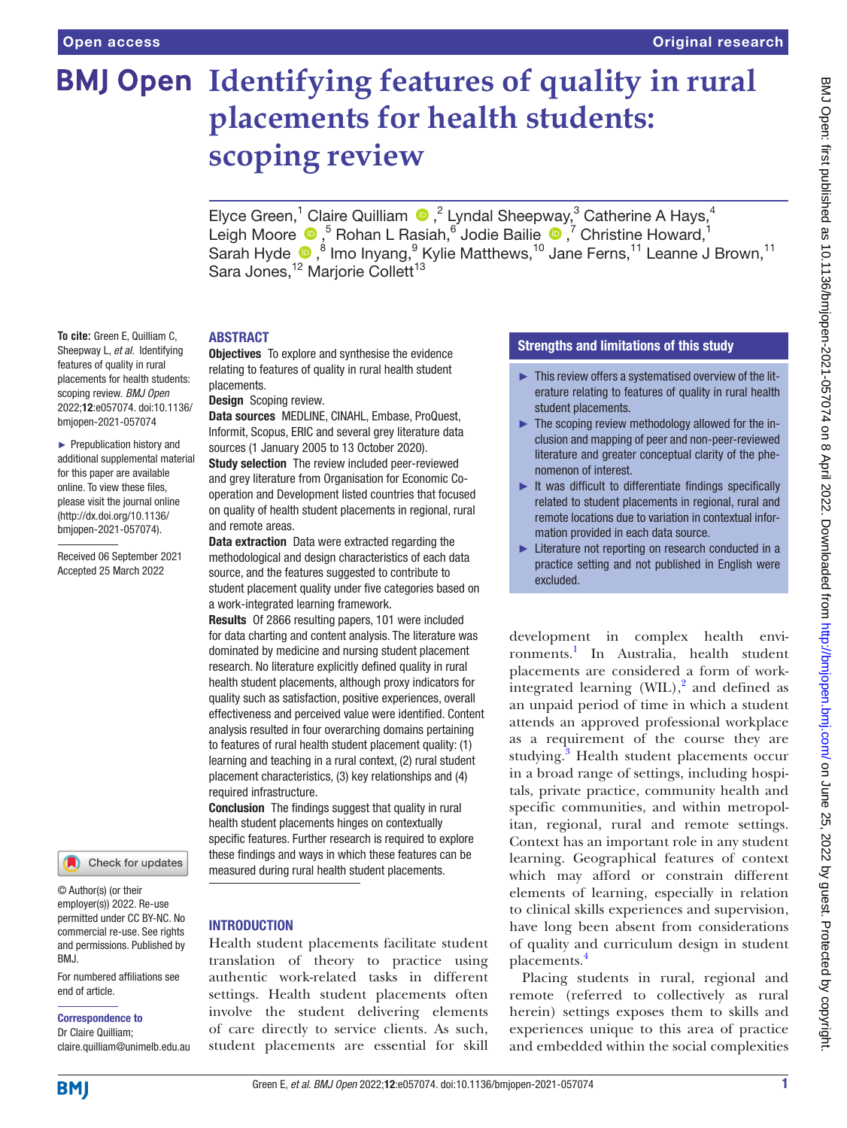# **BMJ Open Identifying features of quality in rural placements for health students: scoping review**

ElyceGreen,<sup>1</sup> Claire Quilliam  $\bigcirc$ ,<sup>2</sup> Lyndal Sheepway,<sup>3</sup> Catherine A Hays,<sup>4</sup> LeighMoore  $\bigcirc$ , <sup>5</sup> Rohan L Rasiah, <sup>6</sup> Jodie Bailie  $\bigcirc$ , 7 Christine Howard, <sup>1</sup> Sarah Hyde <sup>®</sup>,<sup>8</sup> Imo Inyang,<sup>9</sup> Kylie Matthews,<sup>10</sup> Jane Ferns,<sup>11</sup> Leanne J Brown,<sup>11</sup> Sara Jones,<sup>12</sup> Marjorie Collett<sup>13</sup>

## ABSTRACT

**To cite:** Green E, Quilliam C, Sheepway L, *et al*. Identifying features of quality in rural placements for health students: scoping review. *BMJ Open* 2022;12:e057074. doi:10.1136/ bmjopen-2021-057074

► Prepublication history and additional supplemental material for this paper are available online. To view these files, please visit the journal online [\(http://dx.doi.org/10.1136/](http://dx.doi.org/10.1136/bmjopen-2021-057074) [bmjopen-2021-057074](http://dx.doi.org/10.1136/bmjopen-2021-057074)).

Received 06 September 2021 Accepted 25 March 2022



© Author(s) (or their employer(s)) 2022. Re-use permitted under CC BY-NC. No commercial re-use. See rights and permissions. Published by BMJ.

For numbered affiliations see end of article.

Correspondence to

Dr Claire Quilliam; claire.quilliam@unimelb.edu.au **Objectives** To explore and synthesise the evidence relating to features of quality in rural health student placements.

Design Scoping review.

Data sources MEDLINE, CINAHL, Embase, ProQuest, Informit, Scopus, ERIC and several grey literature data sources (1 January 2005 to 13 October 2020). Study selection The review included peer-reviewed and grey literature from Organisation for Economic Cooperation and Development listed countries that focused on quality of health student placements in regional, rural and remote areas.

Data extraction Data were extracted regarding the methodological and design characteristics of each data source, and the features suggested to contribute to student placement quality under five categories based on a work-integrated learning framework.

Results Of 2866 resulting papers, 101 were included for data charting and content analysis. The literature was dominated by medicine and nursing student placement research. No literature explicitly defined quality in rural health student placements, although proxy indicators for quality such as satisfaction, positive experiences, overall effectiveness and perceived value were identified. Content analysis resulted in four overarching domains pertaining to features of rural health student placement quality: (1) learning and teaching in a rural context, (2) rural student placement characteristics, (3) key relationships and (4) required infrastructure.

Conclusion The findings suggest that quality in rural health student placements hinges on contextually specific features. Further research is required to explore these findings and ways in which these features can be measured during rural health student placements.

# **INTRODUCTION**

Health student placements facilitate student translation of theory to practice using authentic work-related tasks in different settings. Health student placements often involve the student delivering elements of care directly to service clients. As such, student placements are essential for skill

# Strengths and limitations of this study

- ► This review offers a systematised overview of the literature relating to features of quality in rural health student placements.
- ► The scoping review methodology allowed for the inclusion and mapping of peer and non-peer-reviewed literature and greater conceptual clarity of the phenomenon of interest.
- ► It was difficult to differentiate findings specifically related to student placements in regional, rural and remote locations due to variation in contextual information provided in each data source.
- ► Literature not reporting on research conducted in a practice setting and not published in English were excluded.

development in complex health environments.[1](#page-8-0) In Australia, health student placements are considered a form of workintegrated learning (WIL), $^{2}$  and defined as an unpaid period of time in which a student attends an approved professional workplace as a requirement of the course they are studying.<sup>[3](#page-8-2)</sup> Health student placements occur in a broad range of settings, including hospitals, private practice, community health and specific communities, and within metropolitan, regional, rural and remote settings. Context has an important role in any student learning. Geographical features of context which may afford or constrain different elements of learning, especially in relation to clinical skills experiences and supervision, have long been absent from considerations of quality and curriculum design in student placements.[4](#page-8-3)

Placing students in rural, regional and remote (referred to collectively as rural herein) settings exposes them to skills and experiences unique to this area of practice and embedded within the social complexities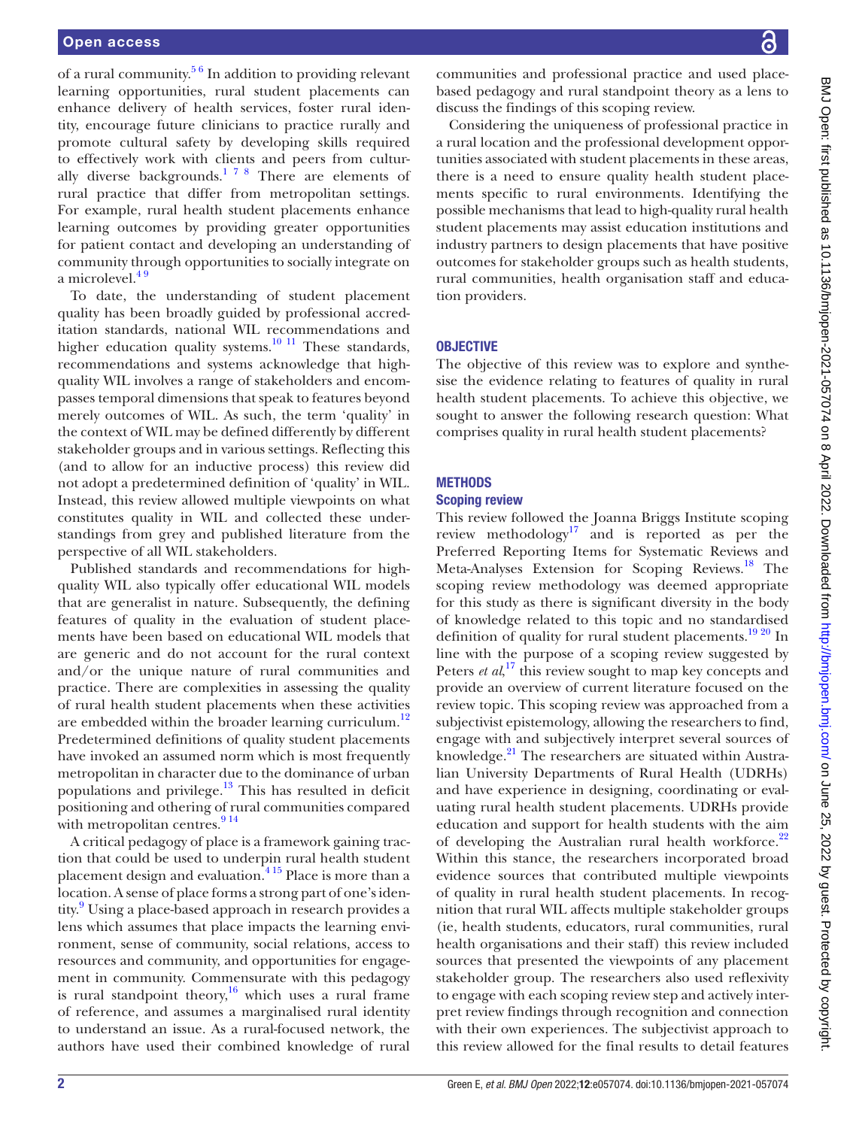of a rural community.<sup>56</sup> In addition to providing relevant learning opportunities, rural student placements can enhance delivery of health services, foster rural identity, encourage future clinicians to practice rurally and promote cultural safety by developing skills required to effectively work with clients and peers from cultur-ally diverse backgrounds.<sup>[1 7 8](#page-8-0)</sup> There are elements of rural practice that differ from metropolitan settings. For example, rural health student placements enhance learning outcomes by providing greater opportunities for patient contact and developing an understanding of community through opportunities to socially integrate on a microlevel.<sup>49</sup>

To date, the understanding of student placement quality has been broadly guided by professional accreditation standards, national WIL recommendations and higher education quality systems.<sup>10 11</sup> These standards, recommendations and systems acknowledge that highquality WIL involves a range of stakeholders and encompasses temporal dimensions that speak to features beyond merely outcomes of WIL. As such, the term 'quality' in the context of WIL may be defined differently by different stakeholder groups and in various settings. Reflecting this (and to allow for an inductive process) this review did not adopt a predetermined definition of 'quality' in WIL. Instead, this review allowed multiple viewpoints on what constitutes quality in WIL and collected these understandings from grey and published literature from the perspective of all WIL stakeholders.

Published standards and recommendations for highquality WIL also typically offer educational WIL models that are generalist in nature. Subsequently, the defining features of quality in the evaluation of student placements have been based on educational WIL models that are generic and do not account for the rural context and/or the unique nature of rural communities and practice. There are complexities in assessing the quality of rural health student placements when these activities are embedded within the broader learning curriculum. $12$ Predetermined definitions of quality student placements have invoked an assumed norm which is most frequently metropolitan in character due to the dominance of urban populations and privilege. $13$  This has resulted in deficit positioning and othering of rural communities compared with metropolitan centres. $914$ 

A critical pedagogy of place is a framework gaining traction that could be used to underpin rural health student placement design and evaluation.<sup>415</sup> Place is more than a location. A sense of place forms a strong part of one's iden-tity.<sup>[9](#page-8-8)</sup> Using a place-based approach in research provides a lens which assumes that place impacts the learning environment, sense of community, social relations, access to resources and community, and opportunities for engagement in community. Commensurate with this pedagogy is rural standpoint theory, $16$  which uses a rural frame of reference, and assumes a marginalised rural identity to understand an issue. As a rural-focused network, the authors have used their combined knowledge of rural

communities and professional practice and used placebased pedagogy and rural standpoint theory as a lens to discuss the findings of this scoping review.

Considering the uniqueness of professional practice in a rural location and the professional development opportunities associated with student placements in these areas, there is a need to ensure quality health student placements specific to rural environments. Identifying the possible mechanisms that lead to high-quality rural health student placements may assist education institutions and industry partners to design placements that have positive outcomes for stakeholder groups such as health students, rural communities, health organisation staff and education providers.

## **OBJECTIVE**

The objective of this review was to explore and synthesise the evidence relating to features of quality in rural health student placements. To achieve this objective, we sought to answer the following research question: What comprises quality in rural health student placements?

# **METHODS**

## Scoping review

This review followed the Joanna Briggs Institute scoping review methodology $17$  and is reported as per the Preferred Reporting Items for Systematic Reviews and Meta-Analyses Extension for Scoping Reviews.<sup>18</sup> The scoping review methodology was deemed appropriate for this study as there is significant diversity in the body of knowledge related to this topic and no standardised definition of quality for rural student placements.<sup>19 20</sup> In line with the purpose of a scoping review suggested by Peters *et al*,<sup>[17](#page-8-10)</sup> this review sought to map key concepts and provide an overview of current literature focused on the review topic. This scoping review was approached from a subjectivist epistemology, allowing the researchers to find, engage with and subjectively interpret several sources of knowledge.<sup>21</sup> The researchers are situated within Australian University Departments of Rural Health (UDRHs) and have experience in designing, coordinating or evaluating rural health student placements. UDRHs provide education and support for health students with the aim of developing the Australian rural health workforce.<sup>[22](#page-8-14)</sup> Within this stance, the researchers incorporated broad evidence sources that contributed multiple viewpoints of quality in rural health student placements. In recognition that rural WIL affects multiple stakeholder groups (ie, health students, educators, rural communities, rural health organisations and their staff) this review included sources that presented the viewpoints of any placement stakeholder group. The researchers also used reflexivity to engage with each scoping review step and actively interpret review findings through recognition and connection with their own experiences. The subjectivist approach to this review allowed for the final results to detail features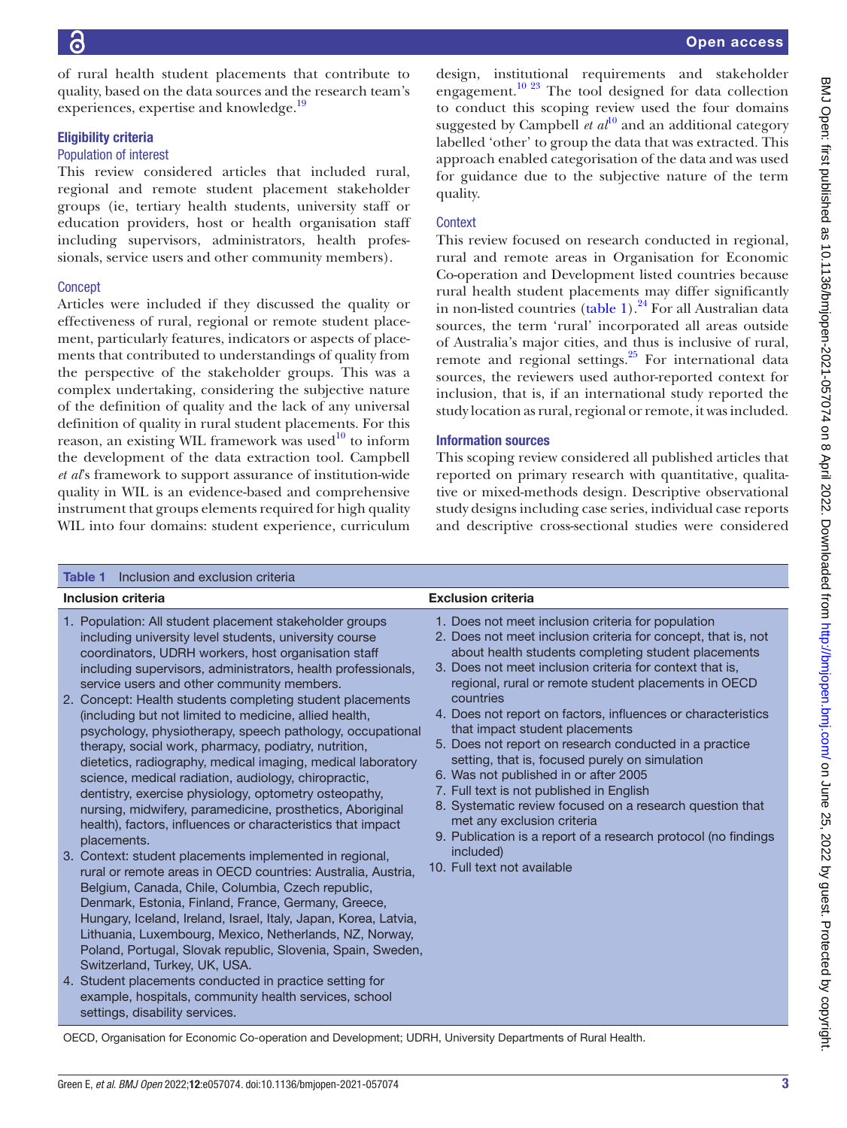of rural health student placements that contribute to quality, based on the data sources and the research team's experiences, expertise and knowledge.<sup>[19](#page-8-12)</sup>

#### Eligibility criteria

#### Population of interest

This review considered articles that included rural, regional and remote student placement stakeholder groups (ie, tertiary health students, university staff or education providers, host or health organisation staff including supervisors, administrators, health professionals, service users and other community members).

# **Concept**

Articles were included if they discussed the quality or effectiveness of rural, regional or remote student placement, particularly features, indicators or aspects of placements that contributed to understandings of quality from the perspective of the stakeholder groups. This was a complex undertaking, considering the subjective nature of the definition of quality and the lack of any universal definition of quality in rural student placements. For this reason, an existing WIL framework was used $10$  to inform the development of the data extraction tool. Campbell *et al*'s framework to support assurance of institution-wide quality in WIL is an evidence-based and comprehensive instrument that groups elements required for high quality WIL into four domains: student experience, curriculum

design, institutional requirements and stakeholder engagement.<sup>10 23</sup> The tool designed for data collection to conduct this scoping review used the four domains suggested by Campbell  $et al^{10}$  $et al^{10}$  $et al^{10}$  and an additional category labelled 'other' to group the data that was extracted. This approach enabled categorisation of the data and was used for guidance due to the subjective nature of the term quality.

## **Context**

This review focused on research conducted in regional, rural and remote areas in Organisation for Economic Co-operation and Development listed countries because rural health student placements may differ significantly in non-listed countries [\(table](#page-2-0) 1).<sup>24</sup> For all Australian data sources, the term 'rural' incorporated all areas outside of Australia's major cities, and thus is inclusive of rural, remote and regional settings.<sup>25</sup> For international data sources, the reviewers used author-reported context for inclusion, that is, if an international study reported the study location as rural, regional or remote, it was included.

## Information sources

This scoping review considered all published articles that reported on primary research with quantitative, qualitative or mixed-methods design. Descriptive observational study designs including case series, individual case reports and descriptive cross-sectional studies were considered

<span id="page-2-0"></span>

| Inclusion and exclusion criteria<br>Table 1                                                                                                                                                                                                                                                                                                                                                                                                                                                      |  |  |
|--------------------------------------------------------------------------------------------------------------------------------------------------------------------------------------------------------------------------------------------------------------------------------------------------------------------------------------------------------------------------------------------------------------------------------------------------------------------------------------------------|--|--|
|                                                                                                                                                                                                                                                                                                                                                                                                                                                                                                  |  |  |
| 2. Does not meet inclusion criteria for concept, that is, not<br>about health students completing student placements<br>3. Does not meet inclusion criteria for context that is,<br>regional, rural or remote student placements in OECD<br>4. Does not report on factors, influences or characteristics<br>5. Does not report on research conducted in a practice<br>8. Systematic review focused on a research question that<br>9. Publication is a report of a research protocol (no findings |  |  |
|                                                                                                                                                                                                                                                                                                                                                                                                                                                                                                  |  |  |
|                                                                                                                                                                                                                                                                                                                                                                                                                                                                                                  |  |  |

OECD, Organisation for Economic Co-operation and Development; UDRH, University Departments of Rural Health.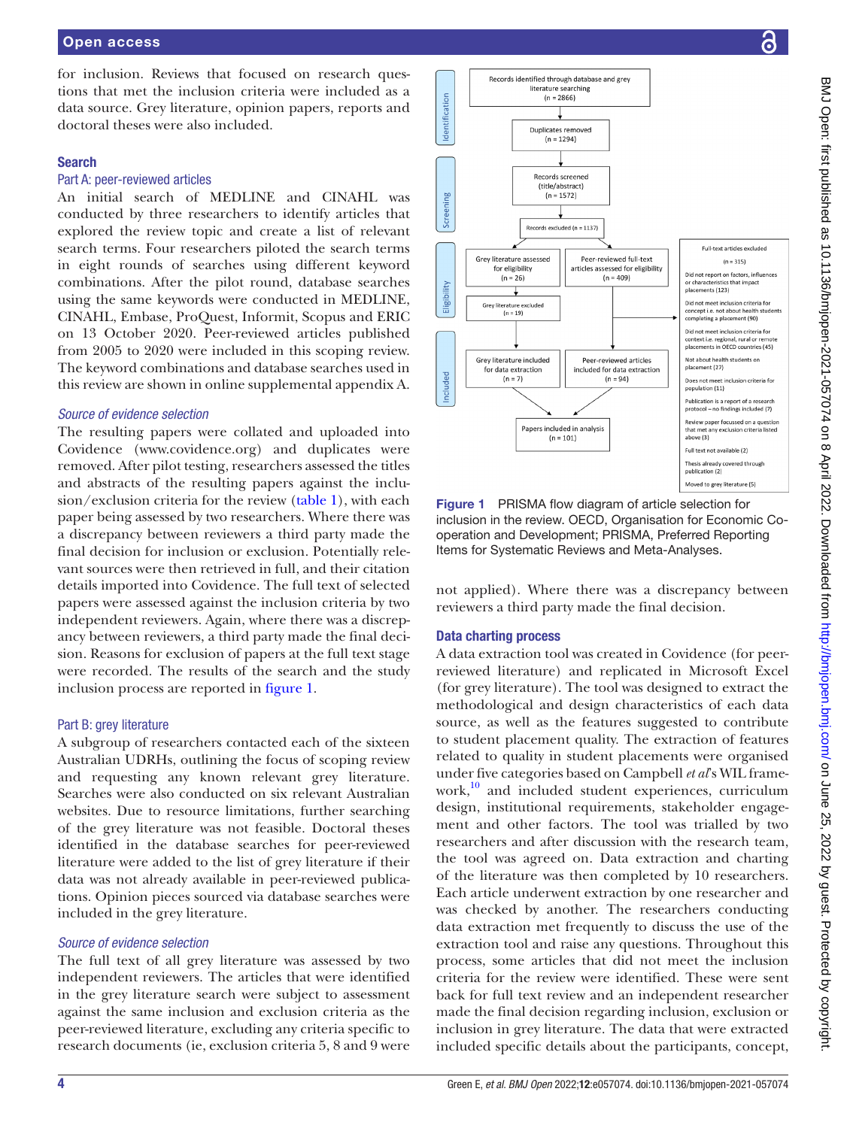for inclusion. Reviews that focused on research questions that met the inclusion criteria were included as a data source. Grey literature, opinion papers, reports and doctoral theses were also included.

#### Search

#### Part A: peer-reviewed articles

An initial search of MEDLINE and CINAHL was conducted by three researchers to identify articles that explored the review topic and create a list of relevant search terms. Four researchers piloted the search terms in eight rounds of searches using different keyword combinations. After the pilot round, database searches using the same keywords were conducted in MEDLINE, CINAHL, Embase, ProQuest, Informit, Scopus and ERIC on 13 October 2020. Peer-reviewed articles published from 2005 to 2020 were included in this scoping review. The keyword combinations and database searches used in this review are shown in [online supplemental appendix A.](https://dx.doi.org/10.1136/bmjopen-2021-057074)

## *Source of evidence selection*

The resulting papers were collated and uploaded into Covidence [\(www.covidence.org](www.covidence.org)) and duplicates were removed. After pilot testing, researchers assessed the titles and abstracts of the resulting papers against the inclusion/exclusion criteria for the review [\(table](#page-2-0) 1), with each paper being assessed by two researchers. Where there was a discrepancy between reviewers a third party made the final decision for inclusion or exclusion. Potentially relevant sources were then retrieved in full, and their citation details imported into Covidence. The full text of selected papers were assessed against the inclusion criteria by two independent reviewers. Again, where there was a discrepancy between reviewers, a third party made the final decision. Reasons for exclusion of papers at the full text stage were recorded. The results of the search and the study inclusion process are reported in [figure](#page-3-0) 1.

#### Part B: grey literature

A subgroup of researchers contacted each of the sixteen Australian UDRHs, outlining the focus of scoping review and requesting any known relevant grey literature. Searches were also conducted on six relevant Australian websites. Due to resource limitations, further searching of the grey literature was not feasible. Doctoral theses identified in the database searches for peer-reviewed literature were added to the list of grey literature if their data was not already available in peer-reviewed publications. Opinion pieces sourced via database searches were included in the grey literature.

#### *Source of evidence selection*

The full text of all grey literature was assessed by two independent reviewers. The articles that were identified in the grey literature search were subject to assessment against the same inclusion and exclusion criteria as the peer-reviewed literature, excluding any criteria specific to research documents (ie, exclusion criteria 5, 8 and 9 were



<span id="page-3-0"></span>Figure 1 PRISMA flow diagram of article selection for inclusion in the review. OECD, Organisation for Economic Cooperation and Development; PRISMA, Preferred Reporting Items for Systematic Reviews and Meta-Analyses.

not applied). Where there was a discrepancy between reviewers a third party made the final decision.

## Data charting process

A data extraction tool was created in Covidence (for peerreviewed literature) and replicated in Microsoft Excel (for grey literature). The tool was designed to extract the methodological and design characteristics of each data source, as well as the features suggested to contribute to student placement quality. The extraction of features related to quality in student placements were organised under five categories based on Campbell *et al*'s WIL framework,<sup>10</sup> and included student experiences, curriculum design, institutional requirements, stakeholder engagement and other factors. The tool was trialled by two researchers and after discussion with the research team, the tool was agreed on. Data extraction and charting of the literature was then completed by 10 researchers. Each article underwent extraction by one researcher and was checked by another. The researchers conducting data extraction met frequently to discuss the use of the extraction tool and raise any questions. Throughout this process, some articles that did not meet the inclusion criteria for the review were identified. These were sent back for full text review and an independent researcher made the final decision regarding inclusion, exclusion or inclusion in grey literature. The data that were extracted included specific details about the participants, concept,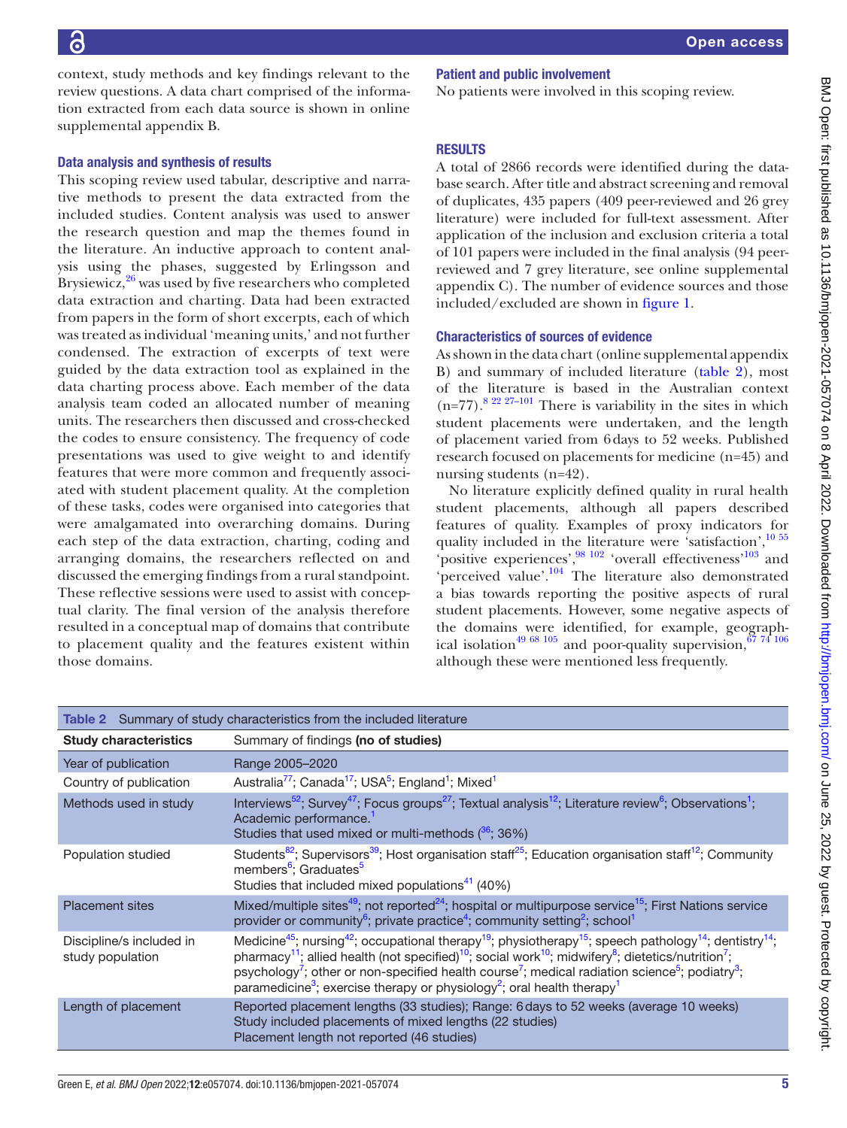context, study methods and key findings relevant to the review questions. A data chart comprised of the information extracted from each data source is shown in [online](https://dx.doi.org/10.1136/bmjopen-2021-057074) [supplemental appendix B](https://dx.doi.org/10.1136/bmjopen-2021-057074).

#### Data analysis and synthesis of results

This scoping review used tabular, descriptive and narrative methods to present the data extracted from the included studies. Content analysis was used to answer the research question and map the themes found in the literature. An inductive approach to content analysis using the phases, suggested by Erlingsson and Brysiewicz,<sup>[26](#page-8-17)</sup> was used by five researchers who completed data extraction and charting. Data had been extracted from papers in the form of short excerpts, each of which was treated as individual 'meaning units,' and not further condensed. The extraction of excerpts of text were guided by the data extraction tool as explained in the data charting process above. Each member of the data analysis team coded an allocated number of meaning units. The researchers then discussed and cross-checked the codes to ensure consistency. The frequency of code presentations was used to give weight to and identify features that were more common and frequently associated with student placement quality. At the completion of these tasks, codes were organised into categories that were amalgamated into overarching domains. During each step of the data extraction, charting, coding and arranging domains, the researchers reflected on and discussed the emerging findings from a rural standpoint. These reflective sessions were used to assist with conceptual clarity. The final version of the analysis therefore resulted in a conceptual map of domains that contribute to placement quality and the features existent within those domains.

# Patient and public involvement

No patients were involved in this scoping review.

# **RESULTS**

A total of 2866 records were identified during the database search. After title and abstract screening and removal of duplicates, 435 papers (409 peer-reviewed and 26 grey literature) were included for full-text assessment. After application of the inclusion and exclusion criteria a total of 101 papers were included in the final analysis (94 peerreviewed and 7 grey literature, see [online supplemental](https://dx.doi.org/10.1136/bmjopen-2021-057074)  [appendix C](https://dx.doi.org/10.1136/bmjopen-2021-057074)). The number of evidence sources and those included/excluded are shown in [figure](#page-3-0) 1.

#### Characteristics of sources of evidence

As shown in the data chart ([online supplemental appendix](https://dx.doi.org/10.1136/bmjopen-2021-057074)  [B](https://dx.doi.org/10.1136/bmjopen-2021-057074)) and summary of included literature ([table](#page-4-0) 2), most of the literature is based in the Australian context  $(n=77)$ .<sup>8 22 27–101</sup> There is variability in the sites in which student placements were undertaken, and the length of placement varied from 6days to 52 weeks. Published research focused on placements for medicine (n=45) and nursing students (n=42).

No literature explicitly defined quality in rural health student placements, although all papers described features of quality. Examples of proxy indicators for quality included in the literature were 'satisfaction',<sup>10 55</sup> positive experiences',  $\frac{98\,102}{2}$  'overall effectiveness'<sup>103</sup> and 'perceived value'.[104](#page-10-2) The literature also demonstrated a bias towards reporting the positive aspects of rural student placements. However, some negative aspects of the domains were identified, for example, geographical isolation<sup>49 68 105</sup> and poor-quality supervision,  $6774$  106 although these were mentioned less frequently.

<span id="page-4-0"></span>

| Table 2 Summary of study characteristics from the included literature |                                                                                                                                                                                                                                                                                                                                                                                                                                                                                                                                                                                                                  |  |
|-----------------------------------------------------------------------|------------------------------------------------------------------------------------------------------------------------------------------------------------------------------------------------------------------------------------------------------------------------------------------------------------------------------------------------------------------------------------------------------------------------------------------------------------------------------------------------------------------------------------------------------------------------------------------------------------------|--|
| <b>Study characteristics</b>                                          | Summary of findings (no of studies)                                                                                                                                                                                                                                                                                                                                                                                                                                                                                                                                                                              |  |
| Year of publication                                                   | Range 2005-2020                                                                                                                                                                                                                                                                                                                                                                                                                                                                                                                                                                                                  |  |
| Country of publication                                                | Australia <sup>77</sup> ; Canada <sup>17</sup> ; USA <sup>5</sup> ; England <sup>1</sup> ; Mixed <sup>1</sup>                                                                                                                                                                                                                                                                                                                                                                                                                                                                                                    |  |
| Methods used in study                                                 | Interviews <sup>52</sup> ; Survey <sup>47</sup> ; Focus groups <sup>27</sup> ; Textual analysis <sup>12</sup> ; Literature review <sup>6</sup> ; Observations <sup>1</sup> ;<br>Academic performance. <sup>1</sup><br>Studies that used mixed or multi-methods $(36, 36\%)$                                                                                                                                                                                                                                                                                                                                      |  |
| Population studied                                                    | Students <sup>82</sup> ; Supervisors <sup>39</sup> ; Host organisation staff <sup>25</sup> ; Education organisation staff <sup>12</sup> ; Community<br>members <sup>6</sup> ; Graduates <sup>5</sup><br>Studies that included mixed populations <sup>41</sup> (40%)                                                                                                                                                                                                                                                                                                                                              |  |
| <b>Placement sites</b>                                                | Mixed/multiple sites <sup>49</sup> ; not reported <sup>24</sup> ; hospital or multipurpose service <sup>15</sup> ; First Nations service<br>provider or community <sup>6</sup> ; private practice <sup>4</sup> ; community setting <sup>2</sup> ; school <sup>1</sup>                                                                                                                                                                                                                                                                                                                                            |  |
| Discipline/s included in<br>study population                          | Medicine <sup>45</sup> ; nursing <sup>42</sup> ; occupational therapy <sup>19</sup> ; physiotherapy <sup>15</sup> ; speech pathology <sup>14</sup> ; dentistry <sup>14</sup> ;<br>pharmacy <sup>11</sup> ; allied health (not specified) <sup>10</sup> ; social work <sup>10</sup> ; midwifery <sup>8</sup> ; dietetics/nutrition <sup>7</sup> ;<br>psychology <sup>7</sup> ; other or non-specified health course <sup>7</sup> ; medical radiation science <sup>5</sup> ; podiatry <sup>3</sup> ;<br>paramedicine <sup>3</sup> ; exercise therapy or physiology <sup>2</sup> ; oral health therapy <sup>1</sup> |  |
| Length of placement                                                   | Reported placement lengths (33 studies); Range: 6 days to 52 weeks (average 10 weeks)<br>Study included placements of mixed lengths (22 studies)<br>Placement length not reported (46 studies)                                                                                                                                                                                                                                                                                                                                                                                                                   |  |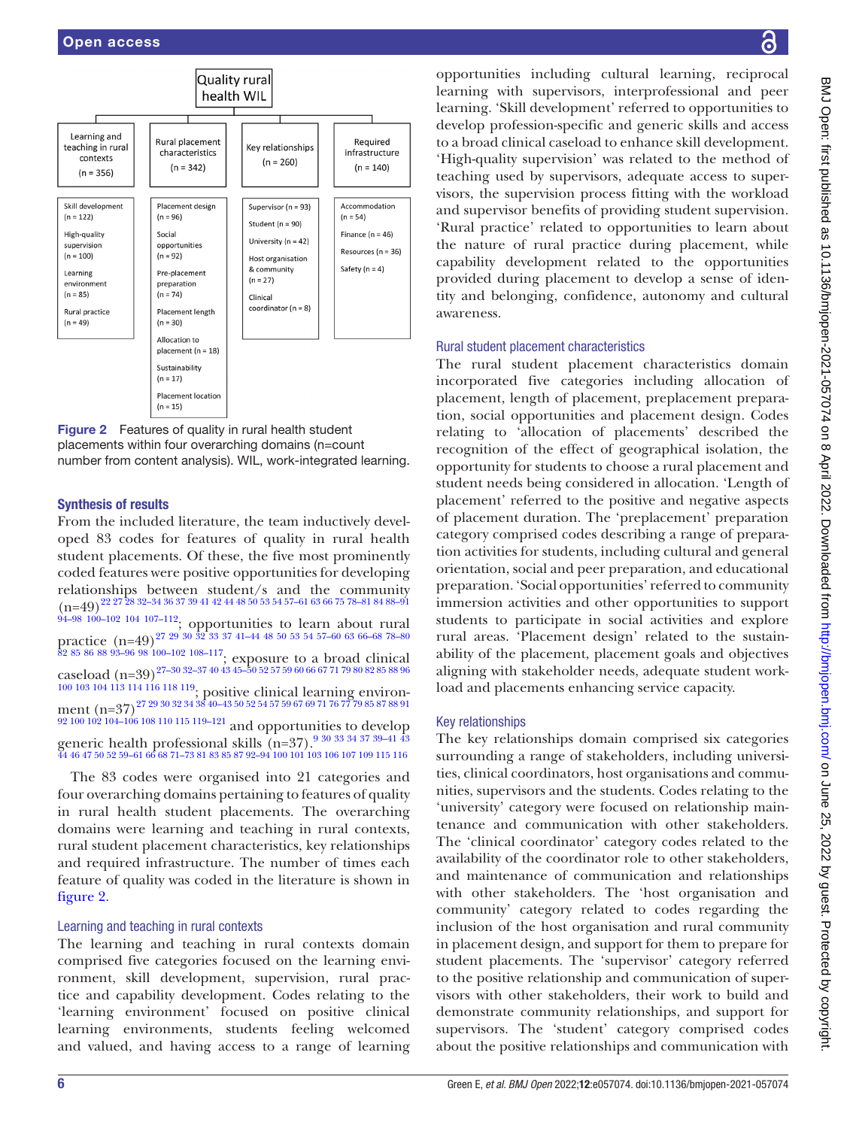

<span id="page-5-0"></span>Figure 2 Features of quality in rural health student placements within four overarching domains (n=count number from content analysis). WIL, work-integrated learning.

# Synthesis of results

From the included literature, the team inductively developed 83 codes for features of quality in rural health student placements. Of these, the five most prominently coded features were positive opportunities for developing relationships between student/s and the community (n=49)[22 27 28 32–34 36 37 39 41 42 44 48 50 53 54 57–61 63 66 75 78–81 84 88–91](#page-8-14)  $94-98$   $100-102$   $104$   $107-112$ ; opportunities to learn about rural practice  $(n=49)^{27}$   $29$   $30$   $32$   $33$   $37$   $41-44$   $48$   $50$   $53$   $54$   $57-60$   $63$   $66-68$   $78-80$ [82 85 86 88 93–96 98 100–102 108–117;](#page-8-19) exposure to a broad clinical caseload  $(n=39)^{27-3032-37404345-5052575960666771798082858896}$ [100 103 104 113 114 116 118 119](#page-8-19); positive clinical learning environ- $\,\mathrm{ment}\,\left(\mathrm{n}{=}37\right)^{27\,29\,30\,32\,34\,38\,40}{-}43\,50\,52\,54\,57\,59\,67\,69\,71\,76\,77\,79\,85\,87\,88\,91$ [92 100 102 104–106 108 110 115 119–121](#page-8-19) and opportunities to develop generic health professional skills (n=37).<sup>9 30</sup> <sup>33 34 37 39–41 <sup>43</sup><br>[44 46 47 50 52 59–61 66 68 71–73 81 83 85 87 92–94 100 101 103 106 107 109 115 116](#page-8-8)</sup>

The 83 codes were organised into 21 categories and four overarching domains pertaining to features of quality in rural health student placements. The overarching domains were learning and teaching in rural contexts, rural student placement characteristics, key relationships and required infrastructure. The number of times each feature of quality was coded in the literature is shown in [figure](#page-5-0) 2.

# Learning and teaching in rural contexts

The learning and teaching in rural contexts domain comprised five categories focused on the learning environment, skill development, supervision, rural practice and capability development. Codes relating to the 'learning environment' focused on positive clinical learning environments, students feeling welcomed and valued, and having access to a range of learning

opportunities including cultural learning, reciprocal learning with supervisors, interprofessional and peer learning. 'Skill development' referred to opportunities to develop profession-specific and generic skills and access to a broad clinical caseload to enhance skill development. 'High-quality supervision' was related to the method of teaching used by supervisors, adequate access to supervisors, the supervision process fitting with the workload and supervisor benefits of providing student supervision. 'Rural practice' related to opportunities to learn about the nature of rural practice during placement, while capability development related to the opportunities provided during placement to develop a sense of identity and belonging, confidence, autonomy and cultural awareness.

# Rural student placement characteristics

The rural student placement characteristics domain incorporated five categories including allocation of placement, length of placement, preplacement preparation, social opportunities and placement design. Codes relating to 'allocation of placements' described the recognition of the effect of geographical isolation, the opportunity for students to choose a rural placement and student needs being considered in allocation. 'Length of placement' referred to the positive and negative aspects of placement duration. The 'preplacement' preparation category comprised codes describing a range of preparation activities for students, including cultural and general orientation, social and peer preparation, and educational preparation. 'Social opportunities' referred to community immersion activities and other opportunities to support students to participate in social activities and explore rural areas. 'Placement design' related to the sustainability of the placement, placement goals and objectives aligning with stakeholder needs, adequate student workload and placements enhancing service capacity.

# Key relationships

The key relationships domain comprised six categories surrounding a range of stakeholders, including universities, clinical coordinators, host organisations and communities, supervisors and the students. Codes relating to the 'university' category were focused on relationship maintenance and communication with other stakeholders. The 'clinical coordinator' category codes related to the availability of the coordinator role to other stakeholders, and maintenance of communication and relationships with other stakeholders. The 'host organisation and community' category related to codes regarding the inclusion of the host organisation and rural community in placement design, and support for them to prepare for student placements. The 'supervisor' category referred to the positive relationship and communication of supervisors with other stakeholders, their work to build and demonstrate community relationships, and support for supervisors. The 'student' category comprised codes about the positive relationships and communication with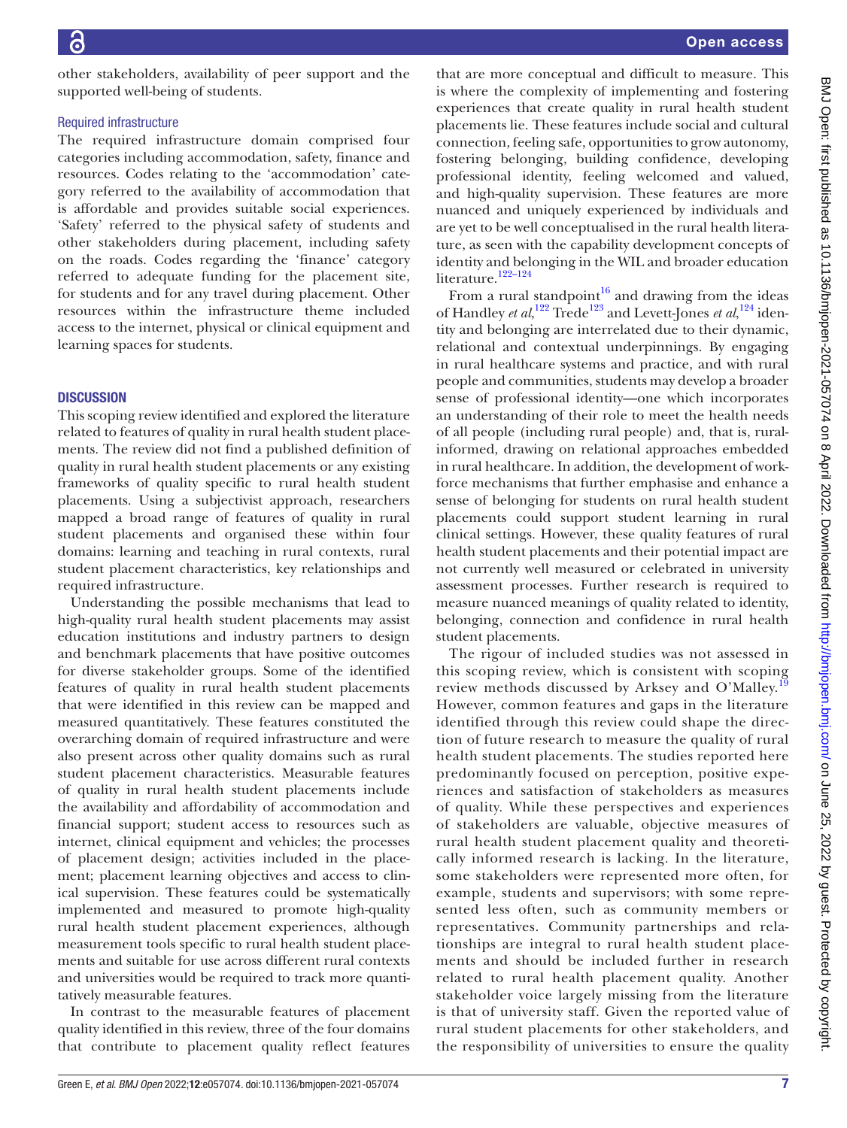other stakeholders, availability of peer support and the supported well-being of students.

#### Required infrastructure

The required infrastructure domain comprised four categories including accommodation, safety, finance and resources. Codes relating to the 'accommodation' category referred to the availability of accommodation that is affordable and provides suitable social experiences. 'Safety' referred to the physical safety of students and other stakeholders during placement, including safety on the roads. Codes regarding the 'finance' category referred to adequate funding for the placement site, for students and for any travel during placement. Other resources within the infrastructure theme included access to the internet, physical or clinical equipment and learning spaces for students.

#### **DISCUSSION**

This scoping review identified and explored the literature related to features of quality in rural health student placements. The review did not find a published definition of quality in rural health student placements or any existing frameworks of quality specific to rural health student placements. Using a subjectivist approach, researchers mapped a broad range of features of quality in rural student placements and organised these within four domains: learning and teaching in rural contexts, rural student placement characteristics, key relationships and required infrastructure.

Understanding the possible mechanisms that lead to high-quality rural health student placements may assist education institutions and industry partners to design and benchmark placements that have positive outcomes for diverse stakeholder groups. Some of the identified features of quality in rural health student placements that were identified in this review can be mapped and measured quantitatively. These features constituted the overarching domain of required infrastructure and were also present across other quality domains such as rural student placement characteristics. Measurable features of quality in rural health student placements include the availability and affordability of accommodation and financial support; student access to resources such as internet, clinical equipment and vehicles; the processes of placement design; activities included in the placement; placement learning objectives and access to clinical supervision. These features could be systematically implemented and measured to promote high-quality rural health student placement experiences, although measurement tools specific to rural health student placements and suitable for use across different rural contexts and universities would be required to track more quantitatively measurable features.

In contrast to the measurable features of placement quality identified in this review, three of the four domains that contribute to placement quality reflect features

that are more conceptual and difficult to measure. This is where the complexity of implementing and fostering experiences that create quality in rural health student placements lie. These features include social and cultural connection, feeling safe, opportunities to grow autonomy, fostering belonging, building confidence, developing professional identity, feeling welcomed and valued, and high-quality supervision. These features are more nuanced and uniquely experienced by individuals and are yet to be well conceptualised in the rural health literature, as seen with the capability development concepts of identity and belonging in the WIL and broader education literature.<sup>122–124</sup>

From a rural standpoint<sup>16</sup> and drawing from the ideas of Handley *et al*,<sup>[122](#page-10-3)</sup> Trede<sup>123</sup> and Levett-Jones *et al*,<sup>[124](#page-10-5)</sup> identity and belonging are interrelated due to their dynamic, relational and contextual underpinnings. By engaging in rural healthcare systems and practice, and with rural people and communities, students may develop a broader sense of professional identity—one which incorporates an understanding of their role to meet the health needs of all people (including rural people) and, that is, ruralinformed, drawing on relational approaches embedded in rural healthcare. In addition, the development of workforce mechanisms that further emphasise and enhance a sense of belonging for students on rural health student placements could support student learning in rural clinical settings. However, these quality features of rural health student placements and their potential impact are not currently well measured or celebrated in university assessment processes. Further research is required to measure nuanced meanings of quality related to identity, belonging, connection and confidence in rural health student placements.

The rigour of included studies was not assessed in this scoping review, which is consistent with scoping review methods discussed by Arksey and O'Malley.<sup>[19](#page-8-12)</sup> However, common features and gaps in the literature identified through this review could shape the direction of future research to measure the quality of rural health student placements. The studies reported here predominantly focused on perception, positive experiences and satisfaction of stakeholders as measures of quality. While these perspectives and experiences of stakeholders are valuable, objective measures of rural health student placement quality and theoretically informed research is lacking. In the literature, some stakeholders were represented more often, for example, students and supervisors; with some represented less often, such as community members or representatives. Community partnerships and relationships are integral to rural health student placements and should be included further in research related to rural health placement quality. Another stakeholder voice largely missing from the literature is that of university staff. Given the reported value of rural student placements for other stakeholders, and the responsibility of universities to ensure the quality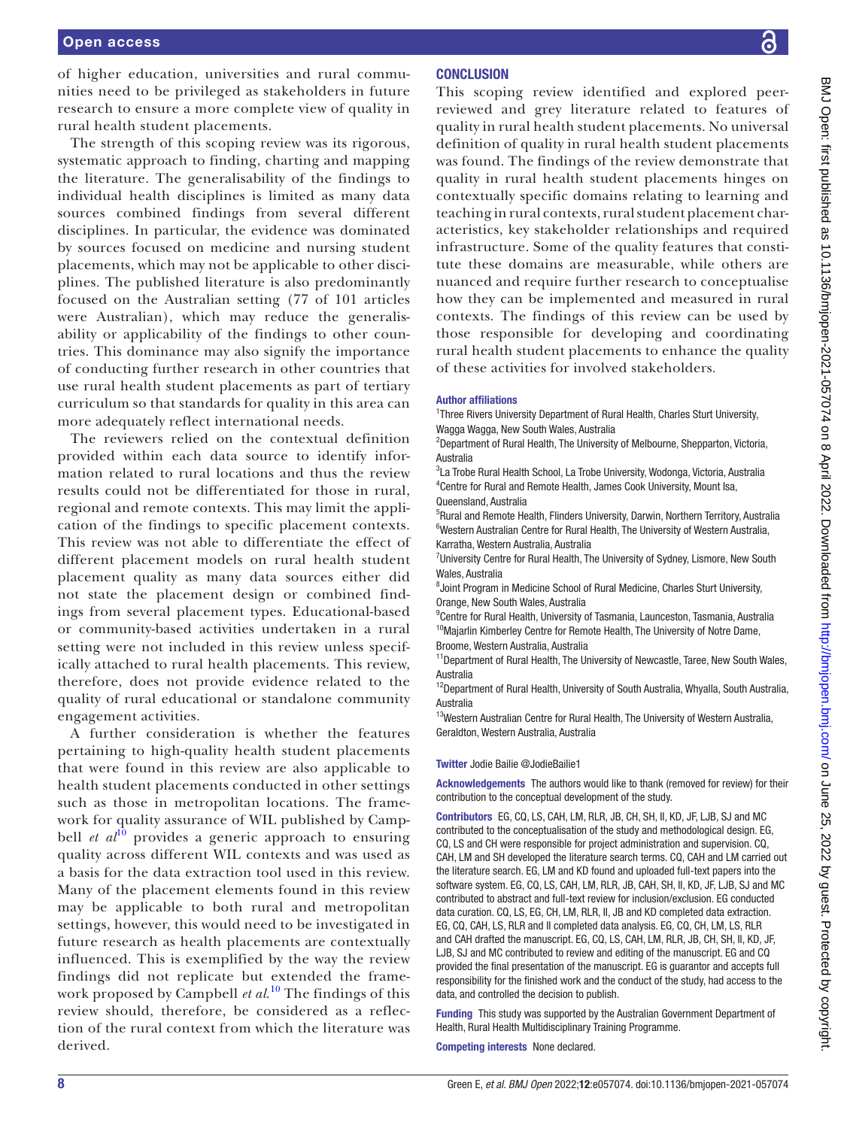of higher education, universities and rural communities need to be privileged as stakeholders in future research to ensure a more complete view of quality in rural health student placements.

The strength of this scoping review was its rigorous, systematic approach to finding, charting and mapping the literature. The generalisability of the findings to individual health disciplines is limited as many data sources combined findings from several different disciplines. In particular, the evidence was dominated by sources focused on medicine and nursing student placements, which may not be applicable to other disciplines. The published literature is also predominantly focused on the Australian setting (77 of 101 articles were Australian), which may reduce the generalisability or applicability of the findings to other countries. This dominance may also signify the importance of conducting further research in other countries that use rural health student placements as part of tertiary curriculum so that standards for quality in this area can more adequately reflect international needs.

The reviewers relied on the contextual definition provided within each data source to identify information related to rural locations and thus the review results could not be differentiated for those in rural, regional and remote contexts. This may limit the application of the findings to specific placement contexts. This review was not able to differentiate the effect of different placement models on rural health student placement quality as many data sources either did not state the placement design or combined findings from several placement types. Educational-based or community-based activities undertaken in a rural setting were not included in this review unless specifically attached to rural health placements. This review, therefore, does not provide evidence related to the quality of rural educational or standalone community engagement activities.

A further consideration is whether the features pertaining to high-quality health student placements that were found in this review are also applicable to health student placements conducted in other settings such as those in metropolitan locations. The framework for quality assurance of WIL published by Campbell *et al*<sup>[10](#page-8-5)</sup> provides a generic approach to ensuring quality across different WIL contexts and was used as a basis for the data extraction tool used in this review. Many of the placement elements found in this review may be applicable to both rural and metropolitan settings, however, this would need to be investigated in future research as health placements are contextually influenced. This is exemplified by the way the review findings did not replicate but extended the framework proposed by Campbell *et al*. [10](#page-8-5) The findings of this review should, therefore, be considered as a reflection of the rural context from which the literature was derived.

#### **CONCLUSION**

This scoping review identified and explored peerreviewed and grey literature related to features of quality in rural health student placements. No universal definition of quality in rural health student placements was found. The findings of the review demonstrate that quality in rural health student placements hinges on contextually specific domains relating to learning and teaching in rural contexts, rural student placement characteristics, key stakeholder relationships and required infrastructure. Some of the quality features that constitute these domains are measurable, while others are nuanced and require further research to conceptualise how they can be implemented and measured in rural contexts. The findings of this review can be used by those responsible for developing and coordinating rural health student placements to enhance the quality of these activities for involved stakeholders.

#### Author affiliations

<sup>1</sup>Three Rivers University Department of Rural Health, Charles Sturt University, Wagga Wagga, New South Wales, Australia

<sup>2</sup>Department of Rural Health, The University of Melbourne, Shepparton, Victoria, Australia

<sup>3</sup>La Trobe Rural Health School, La Trobe University, Wodonga, Victoria, Australia 4 Centre for Rural and Remote Health, James Cook University, Mount Isa, Queensland, Australia

<sup>5</sup>Rural and Remote Health, Flinders University, Darwin, Northern Territory, Australia <sup>6</sup>Western Australian Centre for Rural Health, The University of Western Australia, Karratha, Western Australia, Australia

<sup>7</sup>University Centre for Rural Health, The University of Sydney, Lismore, New South Wales, Australia

8 Joint Program in Medicine School of Rural Medicine, Charles Sturt University, Orange, New South Wales, Australia

<sup>9</sup> Centre for Rural Health, University of Tasmania, Launceston, Tasmania, Australia <sup>10</sup>Majarlin Kimberley Centre for Remote Health, The University of Notre Dame, Broome, Western Australia, Australia

<sup>11</sup>Department of Rural Health, The University of Newcastle, Taree, New South Wales, Australia

<sup>12</sup>Department of Rural Health, University of South Australia, Whyalla, South Australia, Australia

<sup>13</sup>Western Australian Centre for Rural Health, The University of Western Australia, Geraldton, Western Australia, Australia

#### Twitter Jodie Bailie [@JodieBailie1](https://twitter.com/JodieBailie1)

Acknowledgements The authors would like to thank (removed for review) for their contribution to the conceptual development of the study.

Contributors EG, CQ, LS, CAH, LM, RLR, JB, CH, SH, II, KD, JF, LJB, SJ and MC contributed to the conceptualisation of the study and methodological design. EG, CQ, LS and CH were responsible for project administration and supervision. CQ, CAH, LM and SH developed the literature search terms. CQ, CAH and LM carried out the literature search. EG, LM and KD found and uploaded full-text papers into the software system. EG, CQ, LS, CAH, LM, RLR, JB, CAH, SH, II, KD, JF, LJB, SJ and MC contributed to abstract and full-text review for inclusion/exclusion. EG conducted data curation. CQ, LS, EG, CH, LM, RLR, II, JB and KD completed data extraction. EG, CQ, CAH, LS, RLR and II completed data analysis. EG, CQ, CH, LM, LS, RLR and CAH drafted the manuscript. EG, CQ, LS, CAH, LM, RLR, JB, CH, SH, II, KD, JF, LJB, SJ and MC contributed to review and editing of the manuscript. EG and CQ provided the final presentation of the manuscript. EG is guarantor and accepts full responsibility for the finished work and the conduct of the study, had access to the data, and controlled the decision to publish.

Funding This study was supported by the Australian Government Department of Health, Rural Health Multidisciplinary Training Programme.

Competing interests None declared.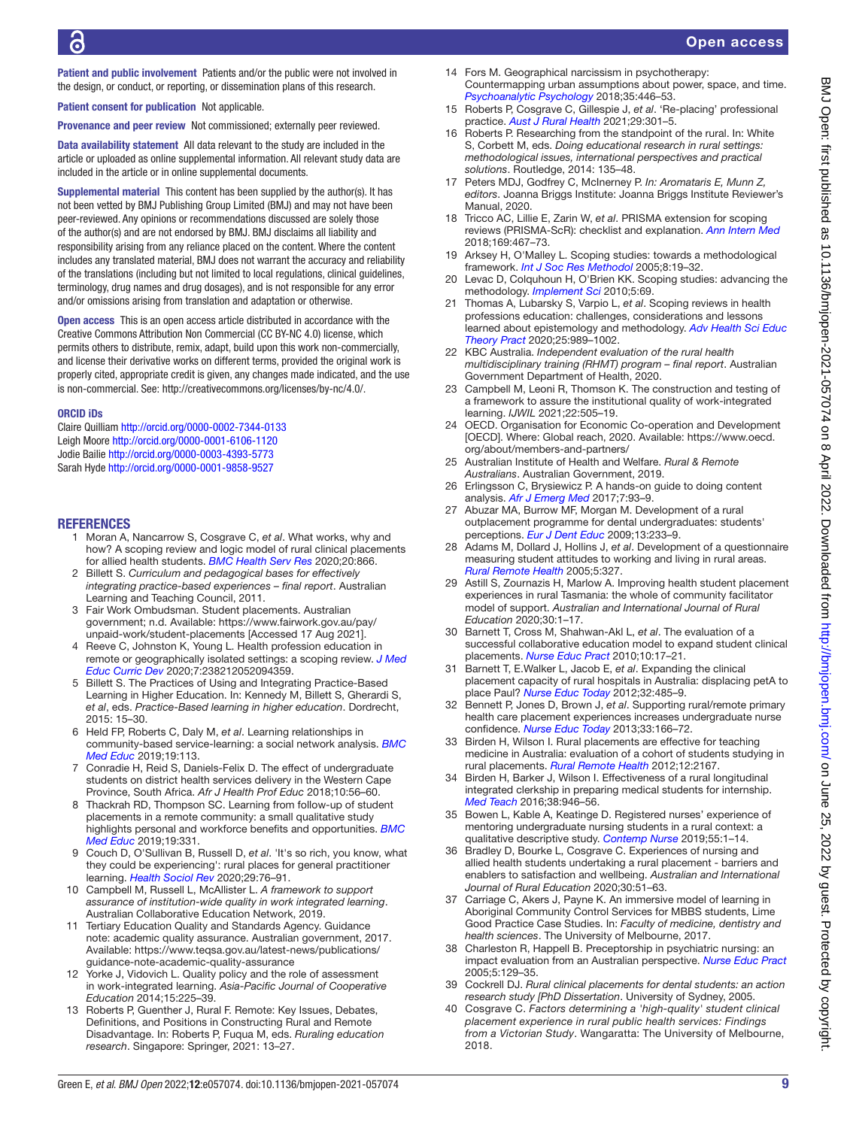Patient and public involvement Patients and/or the public were not involved in the design, or conduct, or reporting, or dissemination plans of this research.

Patient consent for publication Not applicable.

Provenance and peer review Not commissioned; externally peer reviewed.

Data availability statement All data relevant to the study are included in the article or uploaded as online supplemental information. All relevant study data are included in the article or in online supplemental documents.

Supplemental material This content has been supplied by the author(s). It has not been vetted by BMJ Publishing Group Limited (BMJ) and may not have been peer-reviewed. Any opinions or recommendations discussed are solely those of the author(s) and are not endorsed by BMJ. BMJ disclaims all liability and responsibility arising from any reliance placed on the content. Where the content includes any translated material, BMJ does not warrant the accuracy and reliability of the translations (including but not limited to local regulations, clinical guidelines, terminology, drug names and drug dosages), and is not responsible for any error and/or omissions arising from translation and adaptation or otherwise.

Open access This is an open access article distributed in accordance with the Creative Commons Attribution Non Commercial (CC BY-NC 4.0) license, which permits others to distribute, remix, adapt, build upon this work non-commercially, and license their derivative works on different terms, provided the original work is properly cited, appropriate credit is given, any changes made indicated, and the use is non-commercial. See: [http://creativecommons.org/licenses/by-nc/4.0/.](http://creativecommons.org/licenses/by-nc/4.0/)

#### ORCID iDs

Claire Quilliam<http://orcid.org/0000-0002-7344-0133> Leigh Moore<http://orcid.org/0000-0001-6106-1120> Jodie Bailie<http://orcid.org/0000-0003-4393-5773> Sarah Hyde<http://orcid.org/0000-0001-9858-9527>

#### <span id="page-8-0"></span>REFERENCES

- 1 Moran A, Nancarrow S, Cosgrave C, *et al*. What works, why and how? A scoping review and logic model of rural clinical placements for allied health students. *[BMC Health Serv Res](http://dx.doi.org/10.1186/s12913-020-05669-6)* 2020;20:866.
- <span id="page-8-1"></span>2 Billett S. *Curriculum and pedagogical bases for effectively integrating practice-based experiences – final report*. Australian Learning and Teaching Council, 2011.
- <span id="page-8-2"></span>3 Fair Work Ombudsman. Student placements. Australian government; n.d. Available: [https://www.fairwork.gov.au/pay/](https://www.fairwork.gov.au/pay/unpaid-work/student-placements) [unpaid-work/student-placements](https://www.fairwork.gov.au/pay/unpaid-work/student-placements) [Accessed 17 Aug 2021].
- <span id="page-8-3"></span>4 Reeve C, Johnston K, Young L. Health profession education in remote or geographically isolated settings: a scoping review. *[J Med](http://dx.doi.org/10.1177/2382120520943595)  [Educ Curric Dev](http://dx.doi.org/10.1177/2382120520943595)* 2020;7:238212052094359.
- <span id="page-8-4"></span>5 Billett S. The Practices of Using and Integrating Practice-Based Learning in Higher Education. In: Kennedy M, Billett S, Gherardi S, *et al*, eds. *Practice-Based learning in higher education*. Dordrecht, 2015: 15–30.
- <span id="page-8-20"></span>6 Held FP, Roberts C, Daly M, *et al*. Learning relationships in community-based service-learning: a social network analysis. *[BMC](http://dx.doi.org/10.1186/s12909-019-1522-1)  [Med Educ](http://dx.doi.org/10.1186/s12909-019-1522-1)* 2019;19:113.
- <span id="page-8-26"></span>7 Conradie H, Reid S, Daniels-Felix D. The effect of undergraduate students on district health services delivery in the Western Cape Province, South Africa. *Afr J Health Prof Educ* 2018;10:56–60.
- <span id="page-8-18"></span>8 Thackrah RD, Thompson SC. Learning from follow-up of student placements in a remote community: a small qualitative study highlights personal and workforce benefits and opportunities. *[BMC](http://dx.doi.org/10.1186/s12909-019-1751-3)  [Med Educ](http://dx.doi.org/10.1186/s12909-019-1751-3)* 2019;19:331.
- <span id="page-8-8"></span>9 Couch D, O'Sullivan B, Russell D, *et al*. 'It's so rich, you know, what they could be experiencing': rural places for general practitioner learning. *[Health Sociol Rev](http://dx.doi.org/10.1080/14461242.2019.1695137)* 2020;29:76–91.
- <span id="page-8-5"></span>10 Campbell M, Russell L, McAllister L. *A framework to support assurance of institution-wide quality in work integrated learning*. Australian Collaborative Education Network, 2019.
- <span id="page-8-25"></span>11 Tertiary Education Quality and Standards Agency. Guidance note: academic quality assurance. Australian government, 2017. Available: [https://www.teqsa.gov.au/latest-news/publications/](https://www.teqsa.gov.au/latest-news/publications/guidance-note-academic-quality-assurance) [guidance-note-academic-quality-assurance](https://www.teqsa.gov.au/latest-news/publications/guidance-note-academic-quality-assurance)
- <span id="page-8-6"></span>Yorke J, Vidovich L. Quality policy and the role of assessment in work-integrated learning. *Asia-Pacific Journal of Cooperative Education* 2014;15:225–39.
- <span id="page-8-7"></span>13 Roberts P, Guenther J, Rural F. Remote: Key Issues, Debates, Definitions, and Positions in Constructing Rural and Remote Disadvantage. In: Roberts P, Fuqua M, eds. *Ruraling education research*. Singapore: Springer, 2021: 13–27.
- <span id="page-8-24"></span>14 Fors M. Geographical narcissism in psychotherapy: Countermapping urban assumptions about power, space, and time. *[Psychoanalytic Psychology](http://dx.doi.org/10.1037/pap0000179)* 2018;35:446–53.
- <span id="page-8-23"></span>15 Roberts P, Cosgrave C, Gillespie J, *et al*. 'Re‐placing' professional practice. *[Aust J Rural Health](http://dx.doi.org/10.1111/ajr.12717)* 2021;29:301–5.
- <span id="page-8-9"></span>16 Roberts P. Researching from the standpoint of the rural. In: White S, Corbett M, eds. *Doing educational research in rural settings: methodological issues, international perspectives and practical solutions*. Routledge, 2014: 135–48.
- <span id="page-8-10"></span>17 Peters MDJ, Godfrey C, McInerney P. *In: Aromataris E, Munn Z, editors*. Joanna Briggs Institute: Joanna Briggs Institute Reviewer's Manual, 2020.
- <span id="page-8-11"></span>18 Tricco AC, Lillie E, Zarin W, *et al*. PRISMA extension for scoping reviews (PRISMA-ScR): checklist and explanation. *[Ann Intern Med](http://dx.doi.org/10.7326/M18-0850)* 2018;169:467–73.
- <span id="page-8-12"></span>19 Arksey H, O'Malley L. Scoping studies: towards a methodological framework. *[Int J Soc Res Methodol](http://dx.doi.org/10.1080/1364557032000119616)* 2005;8:19–32.
- 20 Levac D, Colquhoun H, O'Brien KK. Scoping studies: advancing the methodology. *[Implement Sci](http://dx.doi.org/10.1186/1748-5908-5-69)* 2010;5:69.
- <span id="page-8-13"></span>21 Thomas A, Lubarsky S, Varpio L, *et al*. Scoping reviews in health professions education: challenges, considerations and lessons learned about epistemology and methodology. *[Adv Health Sci Educ](http://dx.doi.org/10.1007/s10459-019-09932-2)  [Theory Pract](http://dx.doi.org/10.1007/s10459-019-09932-2)* 2020;25:989–1002.
- <span id="page-8-14"></span>22 KBC Australia. *Independent evaluation of the rural health multidisciplinary training (RHMT) program – final report*. Australian Government Department of Health, 2020.
- 23 Campbell M, Leoni R, Thomson K. The construction and testing of a framework to assure the institutional quality of work-integrated learning. *IJWIL* 2021;22:505–19.
- <span id="page-8-15"></span>24 OECD. Organisation for Economic Co-operation and Development [OECD]. Where: Global reach, 2020. Available: [https://www.oecd.](https://www.oecd.org/about/members-and-partners/) [org/about/members-and-partners/](https://www.oecd.org/about/members-and-partners/)
- <span id="page-8-16"></span>25 Australian Institute of Health and Welfare. *Rural & Remote Australians*. Australian Government, 2019.
- <span id="page-8-17"></span>26 Erlingsson C, Brysiewicz P. A hands-on guide to doing content analysis. *[Afr J Emerg Med](http://dx.doi.org/10.1016/j.afjem.2017.08.001)* 2017;7:93–9.
- <span id="page-8-19"></span>27 Abuzar MA, Burrow MF, Morgan M. Development of a rural outplacement programme for dental undergraduates: students' perceptions. *[Eur J Dent Educ](http://dx.doi.org/10.1111/j.1600-0579.2009.00581.x)* 2009;13:233–9.
- 28 Adams M, Dollard J, Hollins J, *et al*. Development of a questionnaire measuring student attitudes to working and living in rural areas. *[Rural Remote Health](http://dx.doi.org/10.22605/RRH327)* 2005;5:327.
- 29 Astill S, Zournazis H, Marlow A. Improving health student placement experiences in rural Tasmania: the whole of community facilitator model of support. *Australian and International Journal of Rural Education* 2020;30:1–17.
- 30 Barnett T, Cross M, Shahwan-Akl L, *et al*. The evaluation of a successful collaborative education model to expand student clinical placements. *[Nurse Educ Pract](http://dx.doi.org/10.1016/j.nepr.2009.01.018)* 2010;10:17–21.
- 31 Barnett T, E.Walker L, Jacob E, *et al*. Expanding the clinical placement capacity of rural hospitals in Australia: displacing petA to place Paul? *[Nurse Educ Today](http://dx.doi.org/10.1016/j.nedt.2011.08.013)* 2012;32:485–9.
- 32 Bennett P, Jones D, Brown J, *et al*. Supporting rural/remote primary health care placement experiences increases undergraduate nurse confidence. *[Nurse Educ Today](http://dx.doi.org/10.1016/j.nedt.2012.02.015)* 2013;33:166–72.
- 33 Birden H, Wilson I. Rural placements are effective for teaching medicine in Australia: evaluation of a cohort of students studying in rural placements. *[Rural Remote Health](http://dx.doi.org/10.22605/RRH2167)* 2012;12:2167.
- 34 Birden H, Barker J, Wilson I. Effectiveness of a rural longitudinal integrated clerkship in preparing medical students for internship. *[Med Teach](http://dx.doi.org/10.3109/0142159X.2015.1114594)* 2016;38:946–56.
- 35 Bowen L, Kable A, Keatinge D. Registered nurses' experience of mentoring undergraduate nursing students in a rural context: a qualitative descriptive study. *[Contemp Nurse](http://dx.doi.org/10.1080/10376178.2018.1513808)* 2019;55:1–14.
- <span id="page-8-21"></span>36 Bradley D, Bourke L, Cosgrave C. Experiences of nursing and allied health students undertaking a rural placement - barriers and enablers to satisfaction and wellbeing. *Australian and International Journal of Rural Education* 2020;30:51–63.
- 37 Carriage C, Akers J, Payne K. An immersive model of learning in Aboriginal Community Control Services for MBBS students, Lime Good Practice Case Studies. In: *Faculty of medicine, dentistry and health sciences*. The University of Melbourne, 2017.
- 38 Charleston R, Happell B. Preceptorship in psychiatric nursing: an impact evaluation from an Australian perspective. *[Nurse Educ Pract](http://dx.doi.org/10.1016/j.nepr.2004.06.002)* 2005;5:129–35.
- <span id="page-8-22"></span>39 Cockrell DJ. *Rural clinical placements for dental students: an action research study [PhD Dissertation*. University of Sydney, 2005.
- 40 Cosgrave C. *Factors determining a 'high-quality' student clinical placement experience in rural public health services: Findings from a Victorian Study*. Wangaratta: The University of Melbourne, 2018.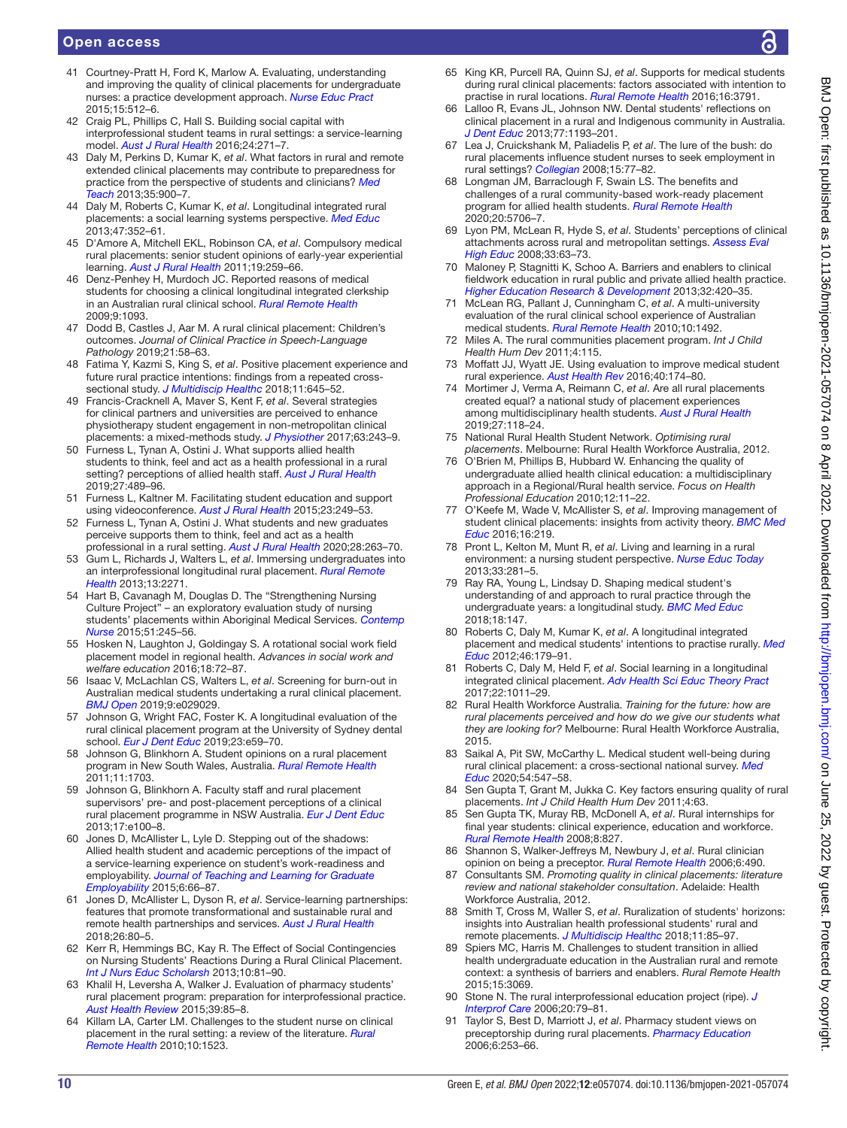# Open access

- <span id="page-9-6"></span>41 Courtney-Pratt H, Ford K, Marlow A. Evaluating, understanding and improving the quality of clinical placements for undergraduate nurses: a practice development approach. *[Nurse Educ Pract](http://dx.doi.org/10.1016/j.nepr.2015.07.002)* 2015;15:512–6.
- <span id="page-9-8"></span>42 Craig PL, Phillips C, Hall S. Building social capital with interprofessional student teams in rural settings: a service-learning model. *[Aust J Rural Health](http://dx.doi.org/10.1111/ajr.12268)* 2016;24:271–7.
- 43 Daly M, Perkins D, Kumar K, *et al*. What factors in rural and remote extended clinical placements may contribute to preparedness for practice from the perspective of students and clinicians? *[Med](http://dx.doi.org/10.3109/0142159X.2013.820274)  [Teach](http://dx.doi.org/10.3109/0142159X.2013.820274)* 2013;35:900–7.
- 44 Daly M, Roberts C, Kumar K, *et al*. Longitudinal integrated rural placements: a social learning systems perspective. *[Med Educ](http://dx.doi.org/10.1111/medu.12097)* 2013;47:352–61.
- <span id="page-9-7"></span>45 D'Amore A, Mitchell EKL, Robinson CA, *et al*. Compulsory medical rural placements: senior student opinions of early-year experiential learning. *[Aust J Rural Health](http://dx.doi.org/10.1111/j.1440-1584.2011.01221.x)* 2011;19:259–66.
- Denz-Penhey H, Murdoch JC. Reported reasons of medical students for choosing a clinical longitudinal integrated clerkship in an Australian rural clinical school. *[Rural Remote Health](http://dx.doi.org/10.22605/RRH1093)* 2009;9:1093.
- <span id="page-9-4"></span>47 Dodd B, Castles J, Aar M. A rural clinical placement: Children's outcomes. *Journal of Clinical Practice in Speech-Language Pathology* 2019;21:58–63.
- 48 Fatima Y, Kazmi S, King S, *et al*. Positive placement experience and future rural practice intentions: findings from a repeated crosssectional study. *[J Multidiscip Healthc](http://dx.doi.org/10.2147/JMDH.S178138)* 2018;11:645–52.
- <span id="page-9-0"></span>49 Francis-Cracknell A, Maver S, Kent F, *et al*. Several strategies for clinical partners and universities are perceived to enhance physiotherapy student engagement in non-metropolitan clinical placements: a mixed-methods study. *[J Physiother](http://dx.doi.org/10.1016/j.jphys.2017.08.008)* 2017;63:243–9.
- 50 Furness L, Tynan A, Ostini J. What supports allied health students to think, feel and act as a health professional in a rural setting? perceptions of allied health staff. *[Aust J Rural Health](http://dx.doi.org/10.1111/ajr.12557)* 2019;27:489–96.
- 51 Furness L, Kaltner M. Facilitating student education and support using videoconference. *[Aust J Rural Health](http://dx.doi.org/10.1111/ajr.12148)* 2015;23:249–53.
- <span id="page-9-3"></span>52 Furness L, Tynan A, Ostini J. What students and new graduates perceive supports them to think, feel and act as a health professional in a rural setting. *[Aust J Rural Health](http://dx.doi.org/10.1111/ajr.12607)* 2020;28:263–70.
- 53 Gum L, Richards J, Walters L, *et al*. Immersing undergraduates into an interprofessional longitudinal rural placement. *[Rural Remote](http://dx.doi.org/10.22605/RRH2271)  [Health](http://dx.doi.org/10.22605/RRH2271)* 2013;13:2271.
- 54 Hart B, Cavanagh M, Douglas D. The "Strengthening Nursing Culture Project" – an exploratory evaluation study of nursing students' placements within Aboriginal Medical Services. *[Contemp](http://dx.doi.org/10.1080/10376178.2016.1150190)  [Nurse](http://dx.doi.org/10.1080/10376178.2016.1150190)* 2015;51:245–56.
- 55 Hosken N, Laughton J, Goldingay S. A rotational social work field placement model in regional health. *Advances in social work and welfare education* 2016;18:72–87.
- 56 Isaac V, McLachlan CS, Walters L, *et al*. Screening for burn-out in Australian medical students undertaking a rural clinical placement. *[BMJ Open](http://dx.doi.org/10.1136/bmjopen-2019-029029)* 2019;9:e029029.
- 57 Johnson G, Wright FAC, Foster K. A longitudinal evaluation of the rural clinical placement program at the University of Sydney dental school. *[Eur J Dent Educ](http://dx.doi.org/10.1111/eje.12401)* 2019;23:e59–70.
- 58 Johnson G, Blinkhorn A. Student opinions on a rural placement program in New South Wales, Australia. *[Rural Remote Health](http://dx.doi.org/10.22605/RRH1703)* 2011;11:1703.
- 59 Johnson G, Blinkhorn A. Faculty staff and rural placement supervisors' pre- and post-placement perceptions of a clinical rural placement programme in NSW Australia. *[Eur J Dent Educ](http://dx.doi.org/10.1111/j.1600-0579.2012.00768.x)* 2013;17:e100–8.
- 60 Jones D, McAllister L, Lyle D. Stepping out of the shadows: Allied health student and academic perceptions of the impact of a service-learning experience on student's work-readiness and employability. *[Journal of Teaching and Learning for Graduate](http://dx.doi.org/10.21153/jtlge2015vol6no1art574)  [Employability](http://dx.doi.org/10.21153/jtlge2015vol6no1art574)* 2015;6:66–87.
- 61 Jones D, McAllister L, Dyson R, *et al*. Service-learning partnerships: features that promote transformational and sustainable rural and remote health partnerships and services. *[Aust J Rural Health](http://dx.doi.org/10.1111/ajr.12381)* 2018;26:80–5.
- 62 Kerr R, Hemmings BC, Kay R. The Effect of Social Contingencies on Nursing Students' Reactions During a Rural Clinical Placement. *[Int J Nurs Educ Scholarsh](http://dx.doi.org/10.1515/ijnes-2012-0027)* 2013;10:81–90.
- Khalil H, Leversha A, Walker J. Evaluation of pharmacy students' rural placement program: preparation for interprofessional practice. *[Aust Health Review](http://dx.doi.org/10.1071/AH14121)* 2015;39:85–8.
- 64 Killam LA, Carter LM. Challenges to the student nurse on clinical placement in the rural setting: a review of the literature. *[Rural](http://dx.doi.org/10.22605/RRH1523)  [Remote Health](http://dx.doi.org/10.22605/RRH1523)* 2010;10:1523.
- 65 King KR, Purcell RA, Quinn SJ, *et al*. Supports for medical students during rural clinical placements: factors associated with intention to practise in rural locations. *[Rural Remote Health](http://dx.doi.org/10.22605/RRH3791)* 2016;16:3791.
- 66 Lalloo R, Evans JL, Johnson NW. Dental students' reflections on clinical placement in a rural and Indigenous community in Australia. *[J Dent Educ](http://dx.doi.org/10.1002/j.0022-0337.2013.77.9.tb05592.x)* 2013;77:1193–201.
- <span id="page-9-1"></span>67 Lea J, Cruickshank M, Paliadelis P, *et al*. The lure of the bush: do rural placements influence student nurses to seek employment in rural settings? *[Collegian](http://dx.doi.org/10.1016/j.colegn.2008.02.004)* 2008;15:77–82.
- 68 Longman JM, Barraclough F, Swain LS. The benefits and challenges of a rural community-based work-ready placement program for allied health students. *[Rural Remote Health](http://dx.doi.org/10.22605/RRH5706)* 2020;20:5706–7.
- 69 Lyon PM, McLean R, Hyde S, *et al*. Students' perceptions of clinical attachments across rural and metropolitan settings. *[Assess Eval](http://dx.doi.org/10.1080/02602930601122852)  [High Educ](http://dx.doi.org/10.1080/02602930601122852)* 2008;33:63–73.
- 70 Maloney P, Stagnitti K, Schoo A. Barriers and enablers to clinical fieldwork education in rural public and private allied health practice. *[Higher Education Research & Development](http://dx.doi.org/10.1080/07294360.2012.682255)* 2013;32:420–35.
- 71 McLean RG, Pallant J, Cunningham C, *et al*. A multi-university evaluation of the rural clinical school experience of Australian medical students. *[Rural Remote Health](http://dx.doi.org/10.22605/RRH1492)* 2010;10:1492.
- 72 Miles A. The rural communities placement program. *Int J Child Health Hum Dev* 2011;4:115.
- 73 Moffatt JJ, Wyatt JE. Using evaluation to improve medical student rural experience. *[Aust Health Rev](http://dx.doi.org/10.1071/AH14195)* 2016;40:174–80.
- 74 Mortimer J, Verma A, Reimann C, *et al*. Are all rural placements created equal? a national study of placement experiences among multidisciplinary health students. *[Aust J Rural Health](http://dx.doi.org/10.1111/ajr.12487)* 2019;27:118–24.
- 75 National Rural Health Student Network. *Optimising rural placements*. Melbourne: Rural Health Workforce Australia, 2012.
- 76 O'Brien M, Phillips B, Hubbard W. Enhancing the quality of undergraduate allied health clinical education: a multidisciplinary approach in a Regional/Rural health service. *Focus on Health Professional Education* 2010;12:11–22.
- <span id="page-9-2"></span>77 O'Keefe M, Wade V, McAllister S, *et al*. Improving management of student clinical placements: insights from activity theory. *[BMC Med](http://dx.doi.org/10.1186/s12909-016-0747-5)  [Educ](http://dx.doi.org/10.1186/s12909-016-0747-5)* 2016;16:219.
- 78 Pront L, Kelton M, Munt R, *et al*. Living and learning in a rural environment: a nursing student perspective. *[Nurse Educ Today](http://dx.doi.org/10.1016/j.nedt.2012.05.026)* 2013;33:281–5.
- 79 Ray RA, Young L, Lindsay D. Shaping medical student's understanding of and approach to rural practice through the undergraduate years: a longitudinal study. *[BMC Med Educ](http://dx.doi.org/10.1186/s12909-018-1229-8)* 2018;18:147.
- 80 Roberts C, Daly M, Kumar K, *et al*. A longitudinal integrated placement and medical students' intentions to practise rurally. *[Med](http://dx.doi.org/10.1111/j.1365-2923.2011.04102.x)  [Educ](http://dx.doi.org/10.1111/j.1365-2923.2011.04102.x)* 2012;46:179–91.
- 81 Roberts C, Daly M, Held F, *et al*. Social learning in a longitudinal integrated clinical placement. *[Adv Health Sci Educ Theory Pract](http://dx.doi.org/10.1007/s10459-016-9740-3)* 2017;22:1011–29.
- <span id="page-9-5"></span>82 Rural Health Workforce Australia. *Training for the future: how are rural placements perceived and how do we give our students what they are looking for?* Melbourne: Rural Health Workforce Australia, 2015.
- 83 Saikal A, Pit SW, McCarthy L. Medical student well-being during rural clinical placement: a cross‐sectional national survey. *[Med](http://dx.doi.org/10.1111/medu.14078)  [Educ](http://dx.doi.org/10.1111/medu.14078)* 2020;54:547–58.
- 84 Sen Gupta T, Grant M, Jukka C. Key factors ensuring quality of rural placements. *Int J Child Health Hum Dev* 2011;4:63.
- 85 Sen Gupta TK, Muray RB, McDonell A, *et al*. Rural internships for final year students: clinical experience, education and workforce. *[Rural Remote Health](http://dx.doi.org/10.22605/RRH827)* 2008;8:827.
- 86 Shannon S, Walker-Jeffreys M, Newbury J, *et al*. Rural clinician opinion on being a preceptor. *[Rural Remote Health](http://dx.doi.org/10.22605/RRH490)* 2006;6:490.
- 87 Consultants SM. *Promoting quality in clinical placements: literature review and national stakeholder consultation*. Adelaide: Health Workforce Australia, 2012.
- 88 Smith T, Cross M, Waller S, *et al*. Ruralization of students' horizons: insights into Australian health professional students' rural and remote placements. *[J Multidiscip Healthc](http://dx.doi.org/10.2147/JMDH.S150623)* 2018;11:85–97.
- 89 Spiers MC, Harris M. Challenges to student transition in allied health undergraduate education in the Australian rural and remote context: a synthesis of barriers and enablers. *Rural Remote Health* 2015;15:3069.
- Stone N. The rural interprofessional education project (ripe). J *[Interprof Care](http://dx.doi.org/10.1080/13561820500380790)* 2006;20:79–81.
- 91 Taylor S, Best D, Marriott J, *et al*. Pharmacy student views on preceptorship during rural placements. *[Pharmacy Education](http://dx.doi.org/10.1080/15602210600888577)* 2006;6:253–66.